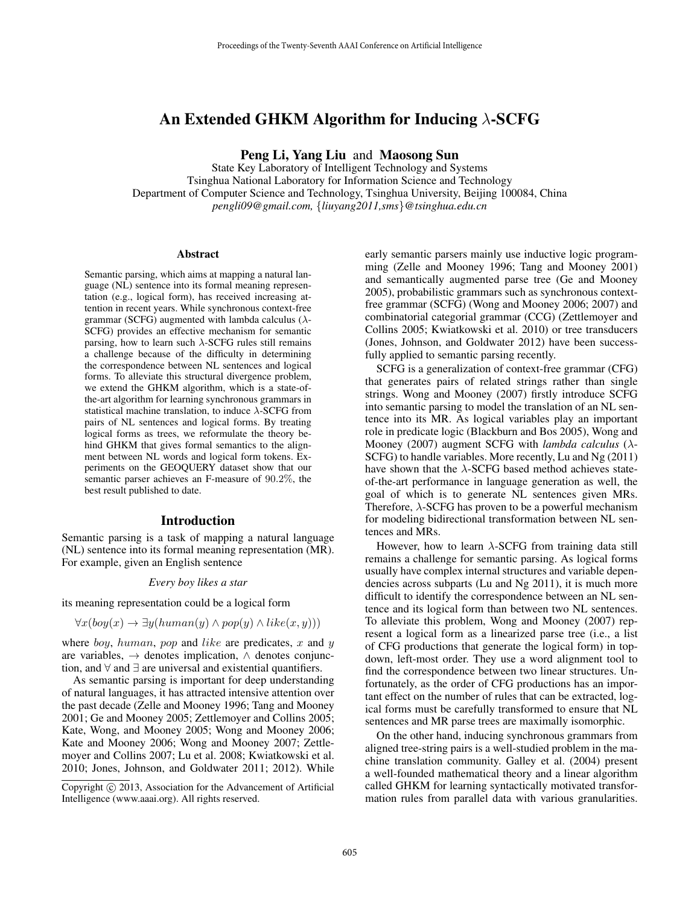# An Extended GHKM Algorithm for Inducing  $\lambda$ -SCFG

Peng Li, Yang Liu and Maosong Sun

State Key Laboratory of Intelligent Technology and Systems Tsinghua National Laboratory for Information Science and Technology Department of Computer Science and Technology, Tsinghua University, Beijing 100084, China *pengli09@gmail.com,* {*liuyang2011,sms*}*@tsinghua.edu.cn*

#### **Abstract**

Semantic parsing, which aims at mapping a natural language (NL) sentence into its formal meaning representation (e.g., logical form), has received increasing attention in recent years. While synchronous context-free grammar (SCFG) augmented with lambda calculus ( $\lambda$ -SCFG) provides an effective mechanism for semantic parsing, how to learn such  $\lambda$ -SCFG rules still remains a challenge because of the difficulty in determining the correspondence between NL sentences and logical forms. To alleviate this structural divergence problem, we extend the GHKM algorithm, which is a state-ofthe-art algorithm for learning synchronous grammars in statistical machine translation, to induce  $\lambda$ -SCFG from pairs of NL sentences and logical forms. By treating logical forms as trees, we reformulate the theory behind GHKM that gives formal semantics to the alignment between NL words and logical form tokens. Experiments on the GEOQUERY dataset show that our semantic parser achieves an F-measure of 90.2%, the best result published to date.

### Introduction

Semantic parsing is a task of mapping a natural language (NL) sentence into its formal meaning representation (MR). For example, given an English sentence

#### *Every boy likes a star*

its meaning representation could be a logical form

$$
\forall x (boy(x) \rightarrow \exists y (human(y) \land pop(y) \land like(x, y)))
$$

where *boy*, human, pop and like are predicates, x and  $y$ are variables,  $\rightarrow$  denotes implication,  $\land$  denotes conjunction, and ∀ and ∃ are universal and existential quantifiers.

As semantic parsing is important for deep understanding of natural languages, it has attracted intensive attention over the past decade (Zelle and Mooney 1996; Tang and Mooney 2001; Ge and Mooney 2005; Zettlemoyer and Collins 2005; Kate, Wong, and Mooney 2005; Wong and Mooney 2006; Kate and Mooney 2006; Wong and Mooney 2007; Zettlemoyer and Collins 2007; Lu et al. 2008; Kwiatkowski et al. 2010; Jones, Johnson, and Goldwater 2011; 2012). While early semantic parsers mainly use inductive logic programming (Zelle and Mooney 1996; Tang and Mooney 2001) and semantically augmented parse tree (Ge and Mooney 2005), probabilistic grammars such as synchronous contextfree grammar (SCFG) (Wong and Mooney 2006; 2007) and combinatorial categorial grammar (CCG) (Zettlemoyer and Collins 2005; Kwiatkowski et al. 2010) or tree transducers (Jones, Johnson, and Goldwater 2012) have been successfully applied to semantic parsing recently.

SCFG is a generalization of context-free grammar (CFG) that generates pairs of related strings rather than single strings. Wong and Mooney (2007) firstly introduce SCFG into semantic parsing to model the translation of an NL sentence into its MR. As logical variables play an important role in predicate logic (Blackburn and Bos 2005), Wong and Mooney (2007) augment SCFG with *lambda calculus* (λ-SCFG) to handle variables. More recently, Lu and Ng (2011) have shown that the  $\lambda$ -SCFG based method achieves stateof-the-art performance in language generation as well, the goal of which is to generate NL sentences given MRs. Therefore,  $\lambda$ -SCFG has proven to be a powerful mechanism for modeling bidirectional transformation between NL sentences and MRs.

However, how to learn  $\lambda$ -SCFG from training data still remains a challenge for semantic parsing. As logical forms usually have complex internal structures and variable dependencies across subparts (Lu and Ng 2011), it is much more difficult to identify the correspondence between an NL sentence and its logical form than between two NL sentences. To alleviate this problem, Wong and Mooney (2007) represent a logical form as a linearized parse tree (i.e., a list of CFG productions that generate the logical form) in topdown, left-most order. They use a word alignment tool to find the correspondence between two linear structures. Unfortunately, as the order of CFG productions has an important effect on the number of rules that can be extracted, logical forms must be carefully transformed to ensure that NL sentences and MR parse trees are maximally isomorphic.

On the other hand, inducing synchronous grammars from aligned tree-string pairs is a well-studied problem in the machine translation community. Galley et al. (2004) present a well-founded mathematical theory and a linear algorithm called GHKM for learning syntactically motivated transformation rules from parallel data with various granularities.

Copyright © 2013, Association for the Advancement of Artificial Intelligence (www.aaai.org). All rights reserved.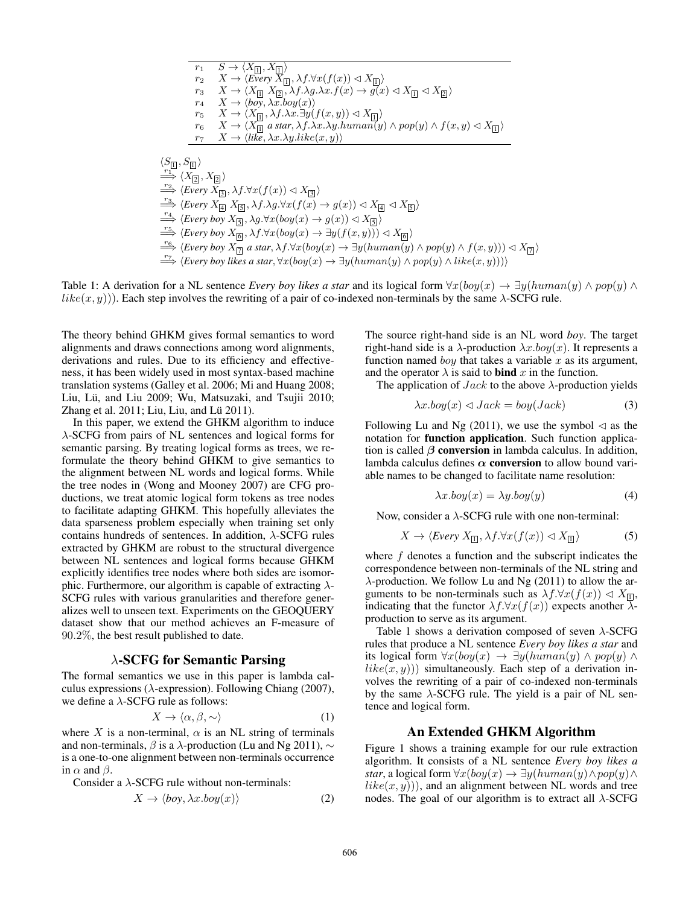$$
r_1 S \rightarrow \langle X_{\Pi}, X_{\Pi} \rangle
$$
  
\n
$$
r_2 X \rightarrow \langle Every X_{\Pi}, \lambda f. \forall x (f(x)) \triangleleft X_{\Pi} \rangle
$$
  
\n
$$
r_3 X \rightarrow \langle X_{\Pi} X_{\Pi}, \lambda f. \lambda g. \lambda x. f(x) \rightarrow g(x) \triangleleft X_{\Pi} \triangleleft X_{\Pi} \rangle
$$
  
\n
$$
r_4 X \rightarrow \langle boy, \lambda x. boy(x) \rangle
$$
  
\n
$$
r_5 X \rightarrow \langle X_{\Pi}, \lambda f. \lambda x. \exists y (f(x, y)) \triangleleft X_{\Pi} \rangle
$$
  
\n
$$
r_6 X \rightarrow \langle X_{\Pi} a \text{ star}, \lambda f. \lambda x. \lambda y. human(y) \land pop(y) \land f(x, y) \triangleleft X_{\Pi} \rangle
$$
  
\n
$$
r_7 X \rightarrow \langle like, \lambda x. \lambda y. like(x, y) \rangle
$$
  
\n
$$
\langle S_{\Pi}, S_{\Pi} \rangle
$$
  
\n
$$
\xrightarrow{r_1} \langle X_{\Pi}, X_{\Pi} \rangle
$$
  
\n
$$
\xrightarrow{r_2} \langle Every X_{\Pi}, \lambda f. \forall x (f(x)) \triangleleft X_{\Pi} \rangle
$$
  
\n
$$
\xrightarrow{r_3} \langle Every X_{\Pi}, \lambda f. \lambda g. \forall x (f(x) \rightarrow g(x)) \triangleleft X_{\Pi} \triangleleft X_{\Pi} \rangle
$$
  
\n
$$
\xrightarrow{r_4} \langle Every \text{ box } X_{\Pi}, \lambda f. \lambda g. \forall x (f(x) \rightarrow g(x)) \triangleleft X_{\Pi} \rangle
$$
  
\n
$$
\xrightarrow{r_5} \langle Every \text{ box } X_{\Pi}, \lambda f. \forall x (boy(x) \rightarrow g(x)) \triangleleft X_{\Pi} \rangle
$$
  
\n
$$
\xrightarrow{r_6} \langle Every \text{ box } X_{\Pi}, \lambda f. \forall x (boy(x) \rightarrow \exists y (f(x, y))) \triangleleft X_{\Pi} \rangle
$$
  
\n
$$
\xrightarrow{r_7} \langle Every \text{ box } X_{\Pi}, \lambda f. \forall x (boy(x) \rightarrow \exists y (f(x, y))) \triangleleft X_{\Pi} \rangle
$$
  
\n
$$
\xrightarrow{r_
$$

Table 1: A derivation for a NL sentence *Every boy likes a star* and its logical form  $\forall x (boy(x) \rightarrow \exists y (human(y) \land pop(y) \land$  $like(x, y)$ ). Each step involves the rewriting of a pair of co-indexed non-terminals by the same  $\lambda$ -SCFG rule.

The theory behind GHKM gives formal semantics to word alignments and draws connections among word alignments, derivations and rules. Due to its efficiency and effectiveness, it has been widely used in most syntax-based machine translation systems (Galley et al. 2006; Mi and Huang 2008; Liu, Lü, and Liu 2009; Wu, Matsuzaki, and Tsujii 2010; Zhang et al.  $2011$ ; Liu, Liu, and Lü  $2011$ ).

In this paper, we extend the GHKM algorithm to induce λ-SCFG from pairs of NL sentences and logical forms for semantic parsing. By treating logical forms as trees, we reformulate the theory behind GHKM to give semantics to the alignment between NL words and logical forms. While the tree nodes in (Wong and Mooney 2007) are CFG productions, we treat atomic logical form tokens as tree nodes to facilitate adapting GHKM. This hopefully alleviates the data sparseness problem especially when training set only contains hundreds of sentences. In addition,  $\lambda$ -SCFG rules extracted by GHKM are robust to the structural divergence between NL sentences and logical forms because GHKM explicitly identifies tree nodes where both sides are isomorphic. Furthermore, our algorithm is capable of extracting  $\lambda$ -SCFG rules with various granularities and therefore generalizes well to unseen text. Experiments on the GEOQUERY dataset show that our method achieves an F-measure of 90.2%, the best result published to date.

## $\lambda$ -SCFG for Semantic Parsing

The formal semantics we use in this paper is lambda calculus expressions ( $\lambda$ -expression). Following Chiang (2007), we define a  $\lambda$ -SCFG rule as follows:

$$
X \to \langle \alpha, \beta, \sim \rangle \tag{1}
$$

where X is a non-terminal,  $\alpha$  is an NL string of terminals and non-terminals,  $\beta$  is a  $\lambda$ -production (Lu and Ng 2011),  $\sim$ is a one-to-one alignment between non-terminals occurrence in  $\alpha$  and  $\beta$ .

Consider a  $\lambda$ -SCFG rule without non-terminals:

$$
X \to \langle boy, \lambda x. boy(x) \rangle \tag{2}
$$

The source right-hand side is an NL word *boy*. The target right-hand side is a  $\lambda$ -production  $\lambda x \cdot boy(x)$ . It represents a function named *boy* that takes a variable  $x$  as its argument, and the operator  $\lambda$  is said to **bind** x in the function.

The application of  $Jack$  to the above  $\lambda$ -production yields

$$
\lambda x. boy(x) \lhd Jack = boy(Jack) \tag{3}
$$

Following Lu and Ng (2011), we use the symbol  $\triangleleft$  as the notation for function application. Such function application is called  $\beta$  conversion in lambda calculus. In addition, lambda calculus defines  $\alpha$  conversion to allow bound variable names to be changed to facilitate name resolution:

$$
\lambda x. \text{boy}(x) = \lambda y. \text{boy}(y) \tag{4}
$$

Now, consider a  $\lambda$ -SCFG rule with one non-terminal:

$$
X \to \langle Every \, X_{\square}, \lambda f. \forall x (f(x)) \vartriangleleft X_{\square} \rangle \tag{5}
$$

where  $f$  denotes a function and the subscript indicates the correspondence between non-terminals of the NL string and  $\lambda$ -production. We follow Lu and Ng (2011) to allow the arguments to be non-terminals such as  $\lambda f \cdot \forall x (f(x)) \vartriangleleft X_{\square},$ indicating that the functor  $\lambda f \cdot \forall x (f(x))$  expects another  $\lambda$ production to serve as its argument.

Table 1 shows a derivation composed of seven  $\lambda$ -SCFG rules that produce a NL sentence *Every boy likes a star* and its logical form  $\forall x (boy(x) \rightarrow \exists y (human(y) \land pop(y) \land$  $like(x, y))$  simultaneously. Each step of a derivation involves the rewriting of a pair of co-indexed non-terminals by the same  $\lambda$ -SCFG rule. The yield is a pair of NL sentence and logical form.

#### An Extended GHKM Algorithm

Figure 1 shows a training example for our rule extraction algorithm. It consists of a NL sentence *Every boy likes a star*, a logical form  $\forall x (boy(x) \rightarrow \exists y (human(y) \land pop(y) \land$  $like(x, y)$ ), and an alignment between NL words and tree nodes. The goal of our algorithm is to extract all  $\lambda$ -SCFG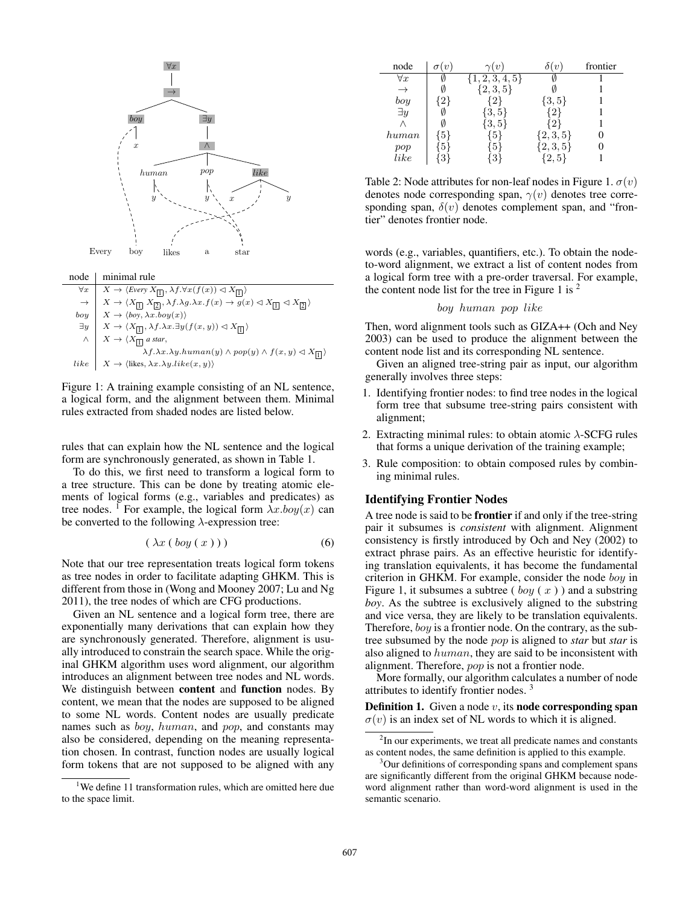

 $\forall x \mid X \rightarrow \langle Every \ X_{\boxed{1}}, \lambda f. \forall x (f(x)) \triangleleft X_{\boxed{1}} \rangle$  $\rightarrow$   $X \rightarrow \langle X_{\boxed{1}} X_{\boxed{2}}, \lambda f. \lambda g. \lambda x. f(x) \rightarrow g(x) \triangleleft X_{\boxed{1}} \triangleleft X_{\boxed{2}} \rangle$  $\begin{aligned} boy \mid X \to \langle boy, \lambda x.boy(x)\rangle \end{aligned}$  $\exists y \mid X \to \langle X_{\boxed{\mathbf{1}}} , \lambda f. \lambda x. \exists y (f(x, y)) \triangleleft X_{\boxed{\mathbf{1}}} \rangle$  $\wedge \mid X \to \langle X_{\boxed{\mathbf{1}}}$  a star,  $\lambda f. \lambda x. \lambda y. human(y) \wedge pop(y) \wedge f(x, y) \triangleleft X_{\boxed{1}}$ like  $X \to \langle$ likes,  $\lambda x. \lambda y.$ like $(x, y)$ 

Figure 1: A training example consisting of an NL sentence, a logical form, and the alignment between them. Minimal rules extracted from shaded nodes are listed below.

rules that can explain how the NL sentence and the logical form are synchronously generated, as shown in Table 1.

To do this, we first need to transform a logical form to a tree structure. This can be done by treating atomic elements of logical forms (e.g., variables and predicates) as tree nodes. <sup>1</sup> For example, the logical form  $\lambda x.$ *boy(x)* can be converted to the following  $\lambda$ -expression tree:

$$
(\lambda x (\, boy\,(\,x\,))\,)\tag{6}
$$

Note that our tree representation treats logical form tokens as tree nodes in order to facilitate adapting GHKM. This is different from those in (Wong and Mooney 2007; Lu and Ng 2011), the tree nodes of which are CFG productions.

Given an NL sentence and a logical form tree, there are exponentially many derivations that can explain how they are synchronously generated. Therefore, alignment is usually introduced to constrain the search space. While the original GHKM algorithm uses word alignment, our algorithm introduces an alignment between tree nodes and NL words. We distinguish between content and function nodes. By content, we mean that the nodes are supposed to be aligned to some NL words. Content nodes are usually predicate names such as boy, human, and pop, and constants may also be considered, depending on the meaning representation chosen. In contrast, function nodes are usually logical form tokens that are not supposed to be aligned with any

| node          |     | $\gamma(v)$     | $\iota$        | frontier |
|---------------|-----|-----------------|----------------|----------|
| $\forall x$   |     | $\{1,2,3,4,5\}$ |                |          |
| $\rightarrow$ |     | $\{2,3,5\}$     |                |          |
| boy           | 2   |                 | $\{3,5\}$      |          |
| $\exists y$   |     | $\{3, 5\}$      | $\overline{2}$ |          |
|               |     | $\{3, 5\}$      | 2              |          |
| human         | .51 | 5               | $\{2,3,5\}$    |          |
| pop           | 5   | Ğ.              | $\{2, 3, 5\}$  |          |
| like          |     | ◡               | 2.5            |          |

Table 2: Node attributes for non-leaf nodes in Figure 1.  $\sigma(v)$ denotes node corresponding span,  $\gamma(v)$  denotes tree corresponding span,  $\delta(v)$  denotes complement span, and "frontier" denotes frontier node.

words (e.g., variables, quantifiers, etc.). To obtain the nodeto-word alignment, we extract a list of content nodes from a logical form tree with a pre-order traversal. For example, the content node list for the tree in Figure 1 is  $2$ 

#### boy human pop like

Then, word alignment tools such as GIZA++ (Och and Ney 2003) can be used to produce the alignment between the content node list and its corresponding NL sentence.

Given an aligned tree-string pair as input, our algorithm generally involves three steps:

- 1. Identifying frontier nodes: to find tree nodes in the logical form tree that subsume tree-string pairs consistent with alignment;
- 2. Extracting minimal rules: to obtain atomic  $\lambda$ -SCFG rules that forms a unique derivation of the training example;
- 3. Rule composition: to obtain composed rules by combining minimal rules.

#### Identifying Frontier Nodes

A tree node is said to be frontier if and only if the tree-string pair it subsumes is *consistent* with alignment. Alignment consistency is firstly introduced by Och and Ney (2002) to extract phrase pairs. As an effective heuristic for identifying translation equivalents, it has become the fundamental criterion in GHKM. For example, consider the node boy in Figure 1, it subsumes a subtree (  $boy(x)$  ) and a substring *boy*. As the subtree is exclusively aligned to the substring and vice versa, they are likely to be translation equivalents. Therefore, boy is a frontier node. On the contrary, as the subtree subsumed by the node pop is aligned to *star* but *star* is also aligned to human, they are said to be inconsistent with alignment. Therefore, pop is not a frontier node.

More formally, our algorithm calculates a number of node attributes to identify frontier nodes. <sup>3</sup>

**Definition 1.** Given a node  $v$ , its **node corresponding span**  $\sigma(v)$  is an index set of NL words to which it is aligned.

<sup>&</sup>lt;sup>1</sup>We define 11 transformation rules, which are omitted here due to the space limit.

<sup>&</sup>lt;sup>2</sup>In our experiments, we treat all predicate names and constants as content nodes, the same definition is applied to this example.

<sup>&</sup>lt;sup>3</sup>Our definitions of corresponding spans and complement spans are significantly different from the original GHKM because nodeword alignment rather than word-word alignment is used in the semantic scenario.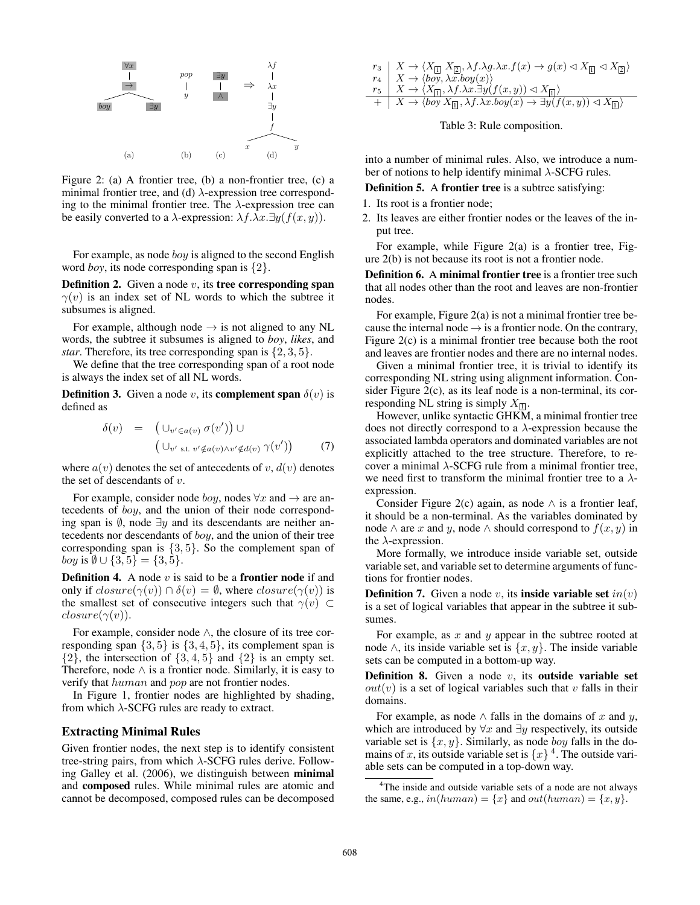

Figure 2: (a) A frontier tree, (b) a non-frontier tree, (c) a minimal frontier tree, and (d)  $\lambda$ -expression tree corresponding to the minimal frontier tree. The  $\lambda$ -expression tree can be easily converted to a  $\lambda$ -expression:  $\lambda f. \lambda x. \exists y (f(x, y)).$ 

For example, as node *boy* is aligned to the second English word *boy*, its node corresponding span is {2}.

**Definition 2.** Given a node  $v$ , its **tree corresponding span**  $\gamma(v)$  is an index set of NL words to which the subtree it subsumes is aligned.

For example, although node  $\rightarrow$  is not aligned to any NL words, the subtree it subsumes is aligned to *boy*, *likes*, and *star*. Therefore, its tree corresponding span is {2, 3, 5}.

We define that the tree corresponding span of a root node is always the index set of all NL words.

**Definition 3.** Given a node v, its **complement span**  $\delta(v)$  is defined as

$$
\delta(v) = (\bigcup_{v' \in a(v)} \sigma(v')) \cup (\bigcup_{v' \text{ s.t. } v' \notin a(v) \land v' \notin d(v)} \gamma(v')) \qquad (7)
$$

where  $a(v)$  denotes the set of antecedents of v,  $d(v)$  denotes the set of descendants of  $v$ .

For example, consider node *boy*, nodes  $\forall x$  and  $\rightarrow$  are antecedents of boy, and the union of their node corresponding span is  $\emptyset$ , node  $\exists y$  and its descendants are neither antecedents nor descendants of boy, and the union of their tree corresponding span is  $\{3, 5\}$ . So the complement span of *boy* is  $\emptyset \cup \{3, 5\} = \{3, 5\}.$ 

**Definition 4.** A node  $v$  is said to be a **frontier node** if and only if  $closure(\gamma(v)) \cap \delta(v) = \emptyset$ , where  $closure(\gamma(v))$  is the smallest set of consecutive integers such that  $\gamma(v) \subset$  $closure(\gamma(v))$ .

For example, consider node ∧, the closure of its tree corresponding span  $\{3, 5\}$  is  $\{3, 4, 5\}$ , its complement span is  $\{2\}$ , the intersection of  $\{3, 4, 5\}$  and  $\{2\}$  is an empty set. Therefore, node  $\wedge$  is a frontier node. Similarly, it is easy to verify that human and pop are not frontier nodes.

In Figure 1, frontier nodes are highlighted by shading, from which  $\lambda$ -SCFG rules are ready to extract.

#### Extracting Minimal Rules

Given frontier nodes, the next step is to identify consistent tree-string pairs, from which  $\lambda$ -SCFG rules derive. Following Galley et al. (2006), we distinguish between minimal and composed rules. While minimal rules are atomic and cannot be decomposed, composed rules can be decomposed

$$
\begin{array}{l} r_3 \\ r_4 \\ r_5 \\ \hline \end{array} \begin{array}{l} X \rightarrow \langle X_{[\underline{1}]} \ X_{[\underline{2}]}, \lambda f. \lambda g. \lambda x. f(x) \rightarrow g(x) \lhd X_{[\underline{1}]} \lhd X_{[\underline{2}]} \rangle \\ X \rightarrow \langle boy, \lambda x. boy(x) \rangle \\ \hline \end{array} \\ + \begin{array}{l} X \rightarrow \langle X_{[\underline{1}]}, \lambda f. \lambda x. \exists y (f(x,y)) \lhd X_{[\underline{1}]} \rangle \\ X \rightarrow \langle boy \ X_{[\underline{1}]}, \lambda f. \lambda x. boy(x) \rightarrow \exists y (f(x,y)) \lhd X_{[\underline{1}]} \rangle \end{array}
$$

#### Table 3: Rule composition.

into a number of minimal rules. Also, we introduce a number of notions to help identify minimal  $\lambda$ -SCFG rules.

Definition 5. A frontier tree is a subtree satisfying:

1. Its root is a frontier node;

2. Its leaves are either frontier nodes or the leaves of the input tree.

For example, while Figure  $2(a)$  is a frontier tree, Figure 2(b) is not because its root is not a frontier node.

Definition 6. A minimal frontier tree is a frontier tree such that all nodes other than the root and leaves are non-frontier nodes.

For example, Figure 2(a) is not a minimal frontier tree because the internal node  $\rightarrow$  is a frontier node. On the contrary, Figure 2(c) is a minimal frontier tree because both the root and leaves are frontier nodes and there are no internal nodes.

Given a minimal frontier tree, it is trivial to identify its corresponding NL string using alignment information. Consider Figure 2(c), as its leaf node is a non-terminal, its corresponding NL string is simply  $X_{\Box}$ .

However, unlike syntactic GHKM, a minimal frontier tree does not directly correspond to a  $\lambda$ -expression because the associated lambda operators and dominated variables are not explicitly attached to the tree structure. Therefore, to recover a minimal λ-SCFG rule from a minimal frontier tree, we need first to transform the minimal frontier tree to a  $\lambda$ expression.

Consider Figure 2(c) again, as node  $\land$  is a frontier leaf, it should be a non-terminal. As the variables dominated by node ∧ are x and y, node ∧ should correspond to  $f(x, y)$  in the  $\lambda$ -expression.

More formally, we introduce inside variable set, outside variable set, and variable set to determine arguments of functions for frontier nodes.

**Definition 7.** Given a node v, its **inside variable set**  $in(v)$ is a set of logical variables that appear in the subtree it subsumes.

For example, as  $x$  and  $y$  appear in the subtree rooted at node ∧, its inside variable set is  $\{x, y\}$ . The inside variable sets can be computed in a bottom-up way.

**Definition 8.** Given a node  $v$ , its **outside variable set**  $out(v)$  is a set of logical variables such that v falls in their domains.

For example, as node  $\land$  falls in the domains of x and y, which are introduced by  $\forall x$  and  $\exists y$  respectively, its outside variable set is  $\{x, y\}$ . Similarly, as node *boy* falls in the domains of x, its outside variable set is  $\{x\}$ <sup>4</sup>. The outside variable sets can be computed in a top-down way.

<sup>&</sup>lt;sup>4</sup>The inside and outside variable sets of a node are not always the same, e.g.,  $in(human) = \{x\}$  and  $out(human) = \{x, y\}$ .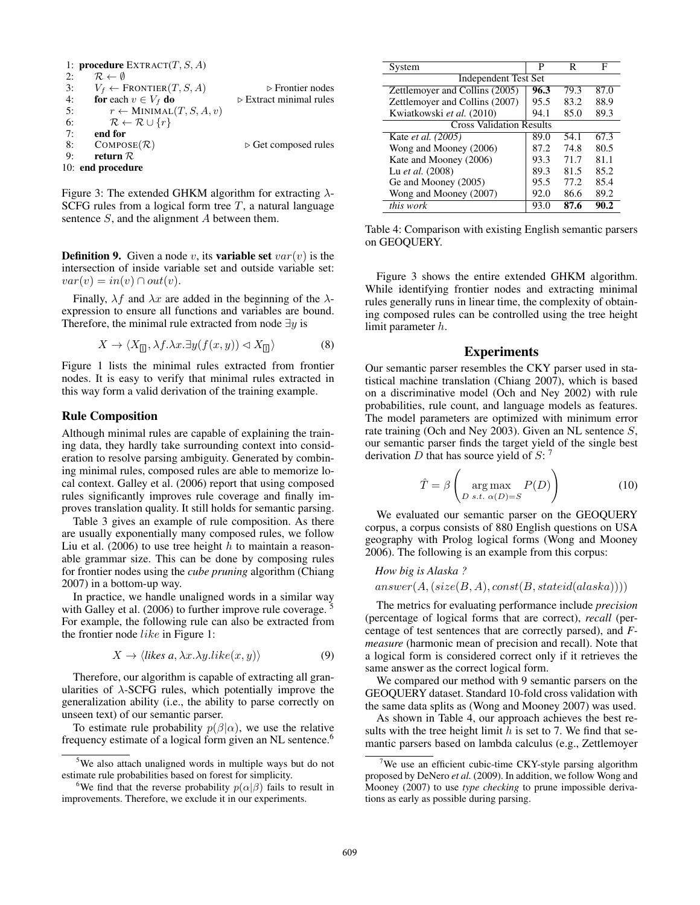```
1: procedure EXTRACT(T, S, A)<br>
2: \mathcal{R} \leftarrow \emptyset2: \begin{array}{cc} R & \neq \emptyset \\ 3: & V_f \leftarrow F \end{array}3: Vf ← FRONTIER(T, S, A) . Frontier nodes
4: for each v \in V_f do . Extract minimal rules<br>5: r \leftarrow \text{MINIMAL}(T, S, A, v)r \leftarrow MINIMAL(T, S, A, v)6: \mathcal{R} \leftarrow \mathcal{R} \cup \{r\}7: end for
8: COMPOSE(\mathcal{R}) \rightarrow Get composed rules<br>9: return \mathcal{R}return R10: end procedure
```
Figure 3: The extended GHKM algorithm for extracting  $\lambda$ -SCFG rules from a logical form tree  $T$ , a natural language sentence S, and the alignment A between them.

**Definition 9.** Given a node v, its **variable set**  $var(v)$  is the intersection of inside variable set and outside variable set:  $var(v) = in(v) \cap out(v).$ 

Finally,  $\lambda f$  and  $\lambda x$  are added in the beginning of the  $\lambda$ expression to ensure all functions and variables are bound. Therefore, the minimal rule extracted from node  $\exists y$  is

$$
X \to \langle X_{\square}, \lambda f. \lambda x. \exists y (f(x, y)) \vartriangleleft X_{\square} \rangle \tag{8}
$$

Figure 1 lists the minimal rules extracted from frontier nodes. It is easy to verify that minimal rules extracted in this way form a valid derivation of the training example.

### Rule Composition

Although minimal rules are capable of explaining the training data, they hardly take surrounding context into consideration to resolve parsing ambiguity. Generated by combining minimal rules, composed rules are able to memorize local context. Galley et al. (2006) report that using composed rules significantly improves rule coverage and finally improves translation quality. It still holds for semantic parsing.

Table 3 gives an example of rule composition. As there are usually exponentially many composed rules, we follow Liu et al. (2006) to use tree height  $h$  to maintain a reasonable grammar size. This can be done by composing rules for frontier nodes using the *cube pruning* algorithm (Chiang 2007) in a bottom-up way.

In practice, we handle unaligned words in a similar way with Galley et al. (2006) to further improve rule coverage. For example, the following rule can also be extracted from the frontier node like in Figure 1:

$$
X \to \langle
$$
 *likes a*,  $\lambda x. \lambda y. like(x, y)$   $\rangle$  (9)

Therefore, our algorithm is capable of extracting all granularities of  $\lambda$ -SCFG rules, which potentially improve the generalization ability (i.e., the ability to parse correctly on unseen text) of our semantic parser.

To estimate rule probability  $p(\beta|\alpha)$ , we use the relative frequency estimate of a logical form given an NL sentence.<sup>6</sup>

| System                          | P    | R    | F    |  |  |  |  |
|---------------------------------|------|------|------|--|--|--|--|
| <b>Independent Test Set</b>     |      |      |      |  |  |  |  |
| Zettlemoyer and Collins (2005)  | 96.3 | 79.3 | 87.0 |  |  |  |  |
| Zettlemoyer and Collins (2007)  | 95.5 | 83.2 | 88.9 |  |  |  |  |
| Kwiatkowski et al. (2010)       | 94.1 | 85.0 | 89.3 |  |  |  |  |
| <b>Cross Validation Results</b> |      |      |      |  |  |  |  |
| Kate et al. (2005)              | 89.0 | 54.1 | 67.3 |  |  |  |  |
| Wong and Mooney (2006)          | 87.2 | 74.8 | 80.5 |  |  |  |  |
| Kate and Mooney (2006)          | 93.3 | 71.7 | 81.1 |  |  |  |  |
| Lu et al. (2008)                | 89.3 | 81.5 | 85.2 |  |  |  |  |
| Ge and Mooney (2005)            | 95.5 | 77.2 | 85.4 |  |  |  |  |
| Wong and Mooney (2007)          | 92.0 | 86.6 | 89.2 |  |  |  |  |
| this work                       | 93.0 | 87.6 | 90.2 |  |  |  |  |

Table 4: Comparison with existing English semantic parsers on GEOQUERY.

Figure 3 shows the entire extended GHKM algorithm. While identifying frontier nodes and extracting minimal rules generally runs in linear time, the complexity of obtaining composed rules can be controlled using the tree height limit parameter h.

## Experiments

Our semantic parser resembles the CKY parser used in statistical machine translation (Chiang 2007), which is based on a discriminative model (Och and Ney 2002) with rule probabilities, rule count, and language models as features. The model parameters are optimized with minimum error rate training (Och and Ney 2003). Given an NL sentence S, our semantic parser finds the target yield of the single best derivation D that has source yield of S:  $^7$ 

$$
\hat{T} = \beta \left( \arg \max_{D \ s.t. \ \alpha(D) = S} P(D) \right)
$$
\n(10)

We evaluated our semantic parser on the GEOQUERY corpus, a corpus consists of 880 English questions on USA geography with Prolog logical forms (Wong and Mooney 2006). The following is an example from this corpus:

```
How big is Alaska ?
answer(A, (size(B, A), const(B, stateid(alaska))))
```
The metrics for evaluating performance include *precision* (percentage of logical forms that are correct), *recall* (percentage of test sentences that are correctly parsed), and *Fmeasure* (harmonic mean of precision and recall). Note that a logical form is considered correct only if it retrieves the same answer as the correct logical form.

We compared our method with 9 semantic parsers on the GEOQUERY dataset. Standard 10-fold cross validation with the same data splits as (Wong and Mooney 2007) was used.

As shown in Table 4, our approach achieves the best results with the tree height limit  $h$  is set to 7. We find that semantic parsers based on lambda calculus (e.g., Zettlemoyer

<sup>&</sup>lt;sup>5</sup>We also attach unaligned words in multiple ways but do not estimate rule probabilities based on forest for simplicity.

<sup>&</sup>lt;sup>6</sup>We find that the reverse probability  $p(\alpha|\beta)$  fails to result in improvements. Therefore, we exclude it in our experiments.

<sup>&</sup>lt;sup>7</sup>We use an efficient cubic-time CKY-style parsing algorithm proposed by DeNero *et al.* (2009). In addition, we follow Wong and Mooney (2007) to use *type checking* to prune impossible derivations as early as possible during parsing.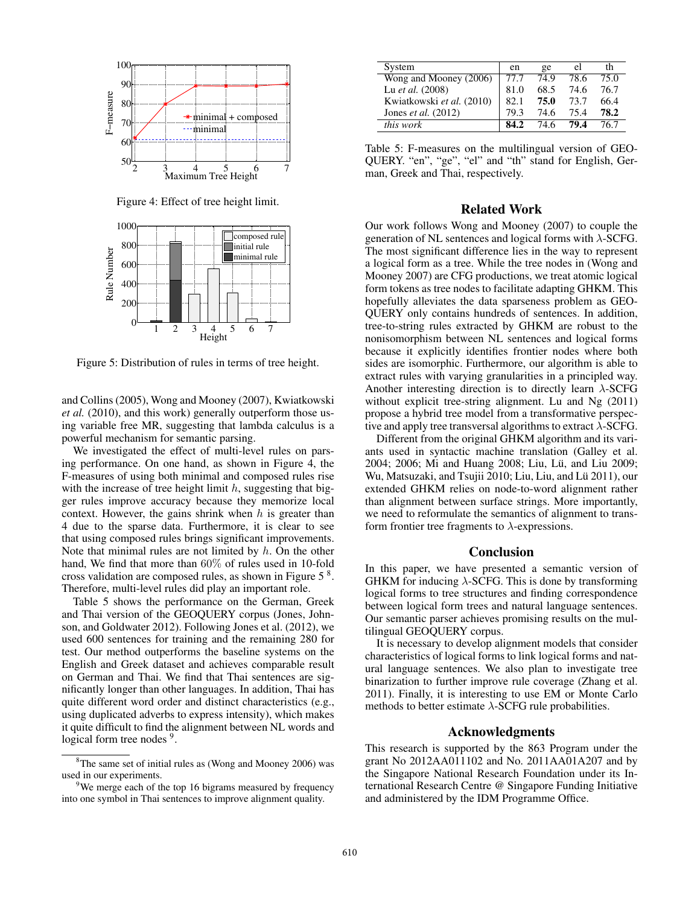

Figure 4: Effect of tree height limit.



Figure 5: Distribution of rules in terms of tree height.

and Collins (2005), Wong and Mooney (2007), Kwiatkowski *et al.* (2010), and this work) generally outperform those using variable free MR, suggesting that lambda calculus is a powerful mechanism for semantic parsing.

We investigated the effect of multi-level rules on parsing performance. On one hand, as shown in Figure 4, the F-measures of using both minimal and composed rules rise with the increase of tree height limit  $h$ , suggesting that bigger rules improve accuracy because they memorize local context. However, the gains shrink when  $h$  is greater than 4 due to the sparse data. Furthermore, it is clear to see that using composed rules brings significant improvements. Note that minimal rules are not limited by  $h$ . On the other hand, We find that more than 60% of rules used in 10-fold cross validation are composed rules, as shown in Figure  $5<sup>8</sup>$ . Therefore, multi-level rules did play an important role.

Table 5 shows the performance on the German, Greek and Thai version of the GEOQUERY corpus (Jones, Johnson, and Goldwater 2012). Following Jones et al. (2012), we used 600 sentences for training and the remaining 280 for test. Our method outperforms the baseline systems on the English and Greek dataset and achieves comparable result on German and Thai. We find that Thai sentences are significantly longer than other languages. In addition, Thai has quite different word order and distinct characteristics (e.g., using duplicated adverbs to express intensity), which makes it quite difficult to find the alignment between NL words and logical form tree nodes <sup>9</sup>.

| System                       | en   | ge   | el   | th   |
|------------------------------|------|------|------|------|
| Wong and Mooney (2006)       | 77.7 | 74.9 | 78.6 | 75.0 |
| Lu et al. (2008)             | 81.0 | 68.5 | 74.6 | 76.7 |
| Kwiatkowski et al. (2010)    | 82.1 | 75.0 | 73.7 | 66.4 |
| Jones <i>et al.</i> $(2012)$ | 79 3 | 74.6 | 75.4 | 78.2 |
| <i>this work</i>             |      | 74 6 | 79.4 | 76 7 |

Table 5: F-measures on the multilingual version of GEO-QUERY. "en", "ge", "el" and "th" stand for English, German, Greek and Thai, respectively.

## Related Work

Our work follows Wong and Mooney (2007) to couple the generation of NL sentences and logical forms with  $\lambda$ -SCFG. The most significant difference lies in the way to represent a logical form as a tree. While the tree nodes in (Wong and Mooney 2007) are CFG productions, we treat atomic logical form tokens as tree nodes to facilitate adapting GHKM. This hopefully alleviates the data sparseness problem as GEO-QUERY only contains hundreds of sentences. In addition, tree-to-string rules extracted by GHKM are robust to the nonisomorphism between NL sentences and logical forms because it explicitly identifies frontier nodes where both sides are isomorphic. Furthermore, our algorithm is able to extract rules with varying granularities in a principled way. Another interesting direction is to directly learn  $\lambda$ -SCFG without explicit tree-string alignment. Lu and Ng (2011) propose a hybrid tree model from a transformative perspective and apply tree transversal algorithms to extract  $\lambda$ -SCFG.

Different from the original GHKM algorithm and its variants used in syntactic machine translation (Galley et al. 2004; 2006; Mi and Huang 2008; Liu, Lü, and Liu 2009; Wu, Matsuzaki, and Tsujii 2010; Liu, Liu, and Lü 2011), our extended GHKM relies on node-to-word alignment rather than alignment between surface strings. More importantly, we need to reformulate the semantics of alignment to transform frontier tree fragments to  $\lambda$ -expressions.

#### Conclusion

In this paper, we have presented a semantic version of GHKM for inducing  $\lambda$ -SCFG. This is done by transforming logical forms to tree structures and finding correspondence between logical form trees and natural language sentences. Our semantic parser achieves promising results on the multilingual GEOQUERY corpus.

It is necessary to develop alignment models that consider characteristics of logical forms to link logical forms and natural language sentences. We also plan to investigate tree binarization to further improve rule coverage (Zhang et al. 2011). Finally, it is interesting to use EM or Monte Carlo methods to better estimate  $\lambda$ -SCFG rule probabilities.

## Acknowledgments

This research is supported by the 863 Program under the grant No 2012AA011102 and No. 2011AA01A207 and by the Singapore National Research Foundation under its International Research Centre @ Singapore Funding Initiative and administered by the IDM Programme Office.

 ${}^{8}$ The same set of initial rules as (Wong and Mooney 2006) was used in our experiments.

<sup>&</sup>lt;sup>9</sup>We merge each of the top 16 bigrams measured by frequency into one symbol in Thai sentences to improve alignment quality.